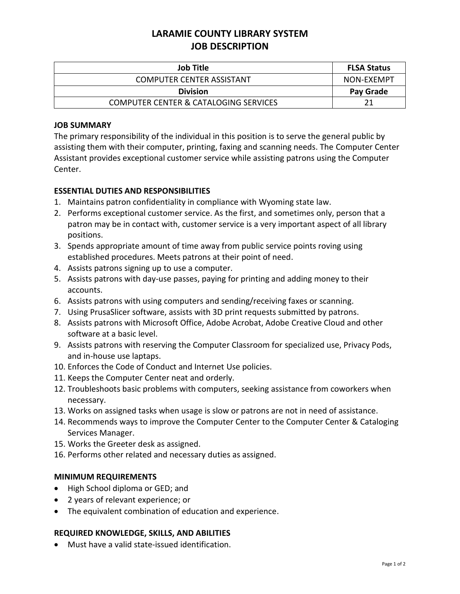# **LARAMIE COUNTY LIBRARY SYSTEM JOB DESCRIPTION**

| Job Title                                        | <b>FLSA Status</b> |
|--------------------------------------------------|--------------------|
| <b>COMPUTER CENTER ASSISTANT</b>                 | NON-EXEMPT         |
| <b>Division</b>                                  | Pay Grade          |
| <b>COMPUTER CENTER &amp; CATALOGING SERVICES</b> |                    |

### **JOB SUMMARY**

The primary responsibility of the individual in this position is to serve the general public by assisting them with their computer, printing, faxing and scanning needs. The Computer Center Assistant provides exceptional customer service while assisting patrons using the Computer Center.

### **ESSENTIAL DUTIES AND RESPONSIBILITIES**

- 1. Maintains patron confidentiality in compliance with Wyoming state law.
- 2. Performs exceptional customer service. As the first, and sometimes only, person that a patron may be in contact with, customer service is a very important aspect of all library positions.
- 3. Spends appropriate amount of time away from public service points roving using established procedures. Meets patrons at their point of need.
- 4. Assists patrons signing up to use a computer.
- 5. Assists patrons with day-use passes, paying for printing and adding money to their accounts.
- 6. Assists patrons with using computers and sending/receiving faxes or scanning.
- 7. Using PrusaSlicer software, assists with 3D print requests submitted by patrons.
- 8. Assists patrons with Microsoft Office, Adobe Acrobat, Adobe Creative Cloud and other software at a basic level.
- 9. Assists patrons with reserving the Computer Classroom for specialized use, Privacy Pods, and in-house use laptaps.
- 10. Enforces the Code of Conduct and Internet Use policies.
- 11. Keeps the Computer Center neat and orderly.
- 12. Troubleshoots basic problems with computers, seeking assistance from coworkers when necessary.
- 13. Works on assigned tasks when usage is slow or patrons are not in need of assistance.
- 14. Recommends ways to improve the Computer Center to the Computer Center & Cataloging Services Manager.
- 15. Works the Greeter desk as assigned.
- 16. Performs other related and necessary duties as assigned.

#### **MINIMUM REQUIREMENTS**

- High School diploma or GED; and
- 2 years of relevant experience; or
- The equivalent combination of education and experience.

#### **REQUIRED KNOWLEDGE, SKILLS, AND ABILITIES**

Must have a valid state-issued identification.